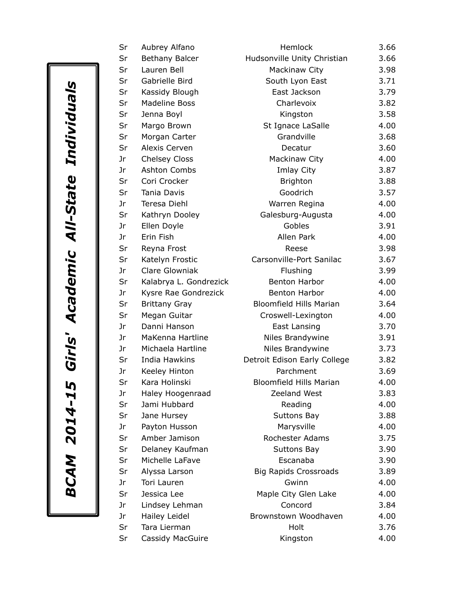| Sr | Aubrey Alfano          | Hemlock                        | 3.66 |
|----|------------------------|--------------------------------|------|
| Sr | Bethany Balcer         | Hudsonville Unity Christian    | 3.66 |
| Sr | Lauren Bell            | Mackinaw City                  | 3.98 |
| Sr | Gabrielle Bird         | South Lyon East                | 3.71 |
| Sr | Kassidy Blough         | East Jackson                   | 3.79 |
| Sr | <b>Madeline Boss</b>   | Charlevoix                     | 3.82 |
| Sr | Jenna Boyl             | Kingston                       | 3.58 |
| Sr | Margo Brown            | St Ignace LaSalle              | 4.00 |
| Sr | Morgan Carter          | Grandville                     | 3.68 |
| Sr | Alexis Cerven          | Decatur                        | 3.60 |
| Jr | Chelsey Closs          | Mackinaw City                  | 4.00 |
| Jr | <b>Ashton Combs</b>    | Imlay City                     | 3.87 |
| Sr | Cori Crocker           | <b>Brighton</b>                | 3.88 |
| Sr | <b>Tania Davis</b>     | Goodrich                       | 3.57 |
| Jr | Teresa Diehl           | Warren Regina                  | 4.00 |
| Sr | Kathryn Dooley         | Galesburg-Augusta              | 4.00 |
| Jr | Ellen Doyle            | Gobles                         | 3.91 |
| Jr | Erin Fish              | Allen Park                     | 4.00 |
| Sr | Reyna Frost            | Reese                          | 3.98 |
| Sr | Katelyn Frostic        | Carsonville-Port Sanilac       | 3.67 |
| Jr | <b>Clare Glowniak</b>  | Flushing                       | 3.99 |
| Sr | Kalabrya L. Gondrezick | Benton Harbor                  | 4.00 |
| Jr | Kysre Rae Gondrezick   | Benton Harbor                  | 4.00 |
| Sr | <b>Brittany Gray</b>   | <b>Bloomfield Hills Marian</b> | 3.64 |
| Sr | Megan Guitar           | Croswell-Lexington             | 4.00 |
| Jr | Danni Hanson           | East Lansing                   | 3.70 |
| Jr | MaKenna Hartline       | Niles Brandywine               | 3.91 |
| Jr | Michaela Hartline      | Niles Brandywine               | 3.73 |
| Sr | India Hawkins          | Detroit Edison Early College   | 3.82 |
| Jr | Keeley Hinton          | Parchment                      | 3.69 |
| Sr | Kara Holinski          | <b>Bloomfield Hills Marian</b> | 4.00 |
| Jr | Haley Hoogenraad       | Zeeland West                   | 3.83 |
| Sr | Jami Hubbard           | Reading                        | 4.00 |
| Sr | Jane Hursey            | <b>Suttons Bay</b>             | 3.88 |
| Jr | Payton Husson          | Marysville                     | 4.00 |
| Sr | Amber Jamison          | Rochester Adams                | 3.75 |
| Sr | Delaney Kaufman        | <b>Suttons Bay</b>             | 3.90 |
| Sr | Michelle LaFave        | Escanaba                       | 3.90 |
| Sr | Alyssa Larson          | <b>Big Rapids Crossroads</b>   | 3.89 |
| Jr | Tori Lauren            | Gwinn                          | 4.00 |
| Sr | Jessica Lee            | Maple City Glen Lake           | 4.00 |
| Jr | Lindsey Lehman         | Concord                        | 3.84 |
| Jr | Hailey Leidel          | Brownstown Woodhaven           | 4.00 |
| Sr | Tara Lierman           | Holt                           | 3.76 |
| Sr | Cassidy MacGuire       | Kingston                       | 4.00 |